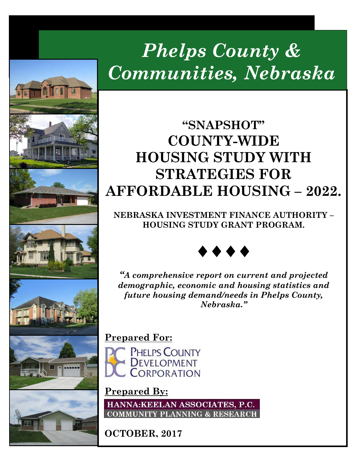# *Phelps County & Communities, Nebraska*

## **"SNAPSHOT" COUNTY-WIDE HOUSING STUDY WITH STRATEGIES FOR AFFORDABLE HOUSING – 2022.**

**NEBRASKA INVESTMENT FINANCE AUTHORITY – HOUSING STUDY GRANT PROGRAM.**



*"A comprehensive report on current and projected demographic, economic and housing statistics and future housing demand/needs in Phelps County, Nebraska."*

## **Prepared For:**



## **Prepared By:**

HANNA:KEELAN ASSOCIATES, P.C. **COMMUNITY PLANNING & RESEARCH** 

**OCTOBER, 2017**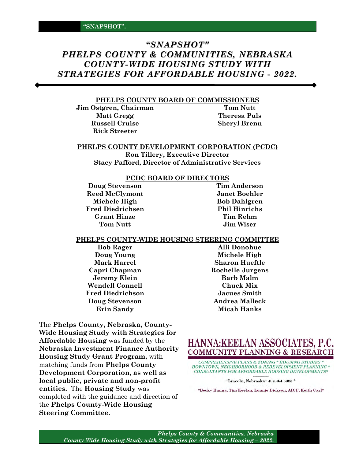### *"SNAPSHOT" PHELPS COUNTY & COMMUNITIES, NEBRASKA COUNTY-WIDE HOUSING STUDY WITH STRATEGIES FOR AFFORDABLE HOUSING - 2022.*

#### **PHELPS COUNTY BOARD OF COMMISSIONERS**

**Jim Ostgren, Chairman Tom Nutt Matt Gregg Theresa Puls Russell Cruise Sheryl Brenn Rick Streeter**

#### **PHELPS COUNTY DEVELOPMENT CORPORATION (PCDC)**

**Ron Tillery, Executive Director Stacy Pafford, Director of Administrative Services**

#### **PCDC BOARD OF DIRECTORS**

**Doug Stevenson Tim Anderson Reed McClymont Janet Boehler Michele High Bob Dahlgren Fred Diedrichsen Phil Hinrichs Grant Hinze Tim Rehm Tom Nutt Jim Wiser**

#### **PHELPS COUNTY-WIDE HOUSING STEERING COMMITTEE**

**Jeremy Klein Barb Malm Wendell Connell Chuck Mix Fred Diedrichson Jacues Smith Doug Stevenson Andrea Malleck**

The **Phelps County, Nebraska, County-Wide Housing Study with Strategies for Affordable Housing** was funded by the **Nebraska Investment Finance Authority Housing Study Grant Program,** with matching funds from **Phelps County Development Corporation, as well as local public, private and non-profit entities.** The **Housing Study** was completed with the guidance and direction of the **Phelps County-Wide Housing Steering Committee.**

**Bob Rager Alli Donohue Doug Young Michele High Mark Harrel Sharon Hueftle Capri Chapman Rochelle Jurgens Erin Sandy Micah Hanks**



**COMPREHENSIVE PLANS & ZONING \* HOUSING STUDIES \*** DOWNTOWN, NEIGHBORHOOD & REDEVELOPMENT PLANNING \* CONSULTANTS FOR AFFORDABLE HOUSING DEVELOPMENTS\*

\*Lincoln, Nebraska\* 402.464.5383 \*

\*Becky Hanna, Tim Keelan, Lonnie Dickson, AICP, Keith Carl\*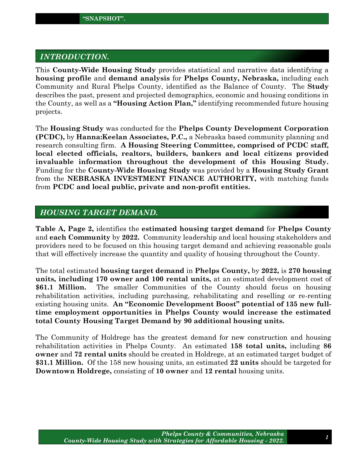#### *INTRODUCTION.*

This **County-Wide Housing Study** provides statistical and narrative data identifying a **housing profile** and **demand analysis** for **Phelps County, Nebraska,** including each Community and Rural Phelps County, identified as the Balance of County. The **Study** describes the past, present and projected demographics, economic and housing conditions in the County, as well as a **"Housing Action Plan,"** identifying recommended future housing projects.

The **Housing Study** was conducted for the **Phelps County Development Corporation (PCDC),** by **Hanna:Keelan Associates, P.C.,** a Nebraska based community planning and research consulting firm. **A Housing Steering Committee, comprised of PCDC staff, local elected officials, realtors, builders, bankers and local citizens provided invaluable information throughout the development of this Housing Study.**  Funding for the **County-Wide Housing Study** was provided by a **Housing Study Grant** from the **NEBRASKA INVESTMENT FINANCE AUTHORITY,** with matching funds from **PCDC and local public, private and non-profit entities.** 

#### *HOUSING TARGET DEMAND.*

**Table A, Page 2,** identifies the **estimated housing target demand** for **Phelps County**  and **each Community** by **2022.** Community leadership and local housing stakeholders and providers need to be focused on this housing target demand and achieving reasonable goals that will effectively increase the quantity and quality of housing throughout the County.

The total estimated **housing target demand** in **Phelps County,** by **2022,** is **270 housing units, including 170 owner and 100 rental units,** at an estimated development cost of **\$61.1 Million.** The smaller Communities of the County should focus on housing rehabilitation activities, including purchasing, rehabilitating and reselling or re-renting existing housing units. **An "Economic Development Boost" potential of 135 new fulltime employment opportunities in Phelps County would increase the estimated total County Housing Target Demand by 90 additional housing units.**

The Community of Holdrege has the greatest demand for new construction and housing rehabilitation activities in Phelps County. An estimated **158 total units,** including **86 owner** and **72 rental units** should be created in Holdrege, at an estimated target budget of **\$31.1 Million.** Of the 158 new housing units, an estimated **22 units** should be targeted for **Downtown Holdrege,** consisting of **10 owner** and **12 rental** housing units.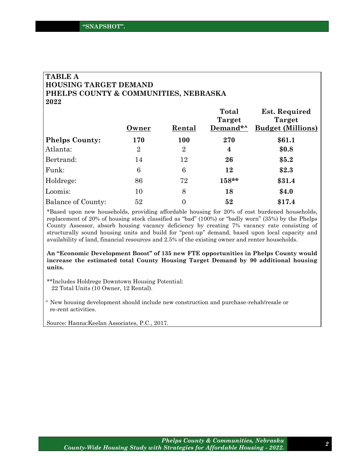#### **TABLE A HOUSING TARGET DEMAND PHELPS COUNTY & COMMUNITIES, NEBRASKA 2022**

|                           |                |                | Total    | <b>Est. Required</b>     |
|---------------------------|----------------|----------------|----------|--------------------------|
|                           |                |                | Target   | Target                   |
|                           | Owner          | Rental         | Demand*^ | <b>Budget (Millions)</b> |
| <b>Phelps County:</b>     | 170            | <b>100</b>     | 270      | \$61.1                   |
| Atlanta:                  | $\overline{2}$ | $\overline{2}$ | 4        | \$0.8                    |
| Bertrand:                 | 14             | 12             | 26       | \$5.2\$                  |
| Funk:                     | 6              | 6              | 12       | \$2.3                    |
| Holdrege:                 | 86             | 72             | 158**    | \$31.4                   |
| Loomis:                   | 10             | 8              | 18       | \$4.0                    |
| <b>Balance of County:</b> | 52             | 0              | 52       | \$17.4                   |

\*Based upon new households, providing affordable housing for 20% of cost burdened households, replacement of 20% of housing stock classified as "bad" (100%) or "badly worn" (35%) by the Phelps County Assessor, absorb housing vacancy deficiency by creating 7% vacancy rate consisting of structurally sound housing units and build for "pent-up" demand, based upon local capacity and availability of land, financial resources and 2.5% of the existing owner and renter households.

**An "Economic Development Boost" of 135 new FTE opportunities in Phelps County would increase the estimated total County Housing Target Demand by 90 additional housing units.**

\*\*Includes Holdrege Downtown Housing Potential: 22 Total Units (10 Owner, 12 Rental).

^ New housing development should include new construction and purchase-rehab/resale or re-rent activities.

Source: Hanna:Keelan Associates, P.C., 2017.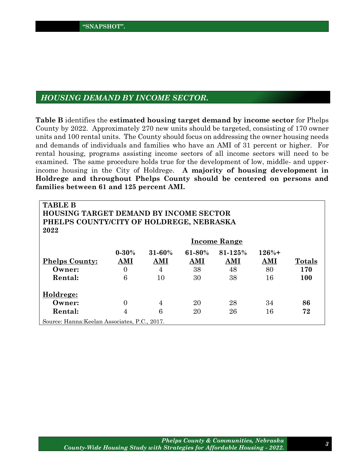#### *HOUSING DEMAND BY INCOME SECTOR.*

**Table B** identifies the **estimated housing target demand by income sector** for Phelps County by 2022. Approximately 270 new units should be targeted, consisting of 170 owner units and 100 rental units. The County should focus on addressing the owner housing needs and demands of individuals and families who have an AMI of 31 percent or higher. For rental housing, programs assisting income sectors of all income sectors will need to be examined. The same procedure holds true for the development of low, middle- and upperincome housing in the City of Holdrege. **A majority of housing development in Holdrege and throughout Phelps County should be centered on persons and families between 61 and 125 percent AMI.** 

| <b>TABLE B</b><br><b>HOUSING TARGET DEMAND BY INCOME SECTOR</b><br>PHELPS COUNTY/CITY OF HOLDREGE, NEBRASKA<br>2022 |                |                |             |                     |         |               |
|---------------------------------------------------------------------------------------------------------------------|----------------|----------------|-------------|---------------------|---------|---------------|
|                                                                                                                     |                |                |             | <b>Income Range</b> |         |               |
|                                                                                                                     | $0 - 30%$      | $31 - 60\%$    | $61 - 80\%$ | 81-125%             | $126%+$ |               |
| <b>Phelps County:</b>                                                                                               | AMI            | AMI            | AMI         | AMI                 | AMI     | <b>Totals</b> |
| Owner:                                                                                                              | $\overline{0}$ | $\overline{4}$ | 38          | 48                  | 80      | 170           |
| Rental:                                                                                                             | 6              | 10             | 30          | 38                  | 16      | 100           |
| Holdrege:                                                                                                           |                |                |             |                     |         |               |
| Owner:                                                                                                              | $\Omega$       | 4              | 20          | 28                  | 34      | 86            |
| Rental:                                                                                                             | 4              | 6              | 20          | 26                  | 16      | 72            |
| Source: Hanna: Keelan Associates, P.C., 2017.                                                                       |                |                |             |                     |         |               |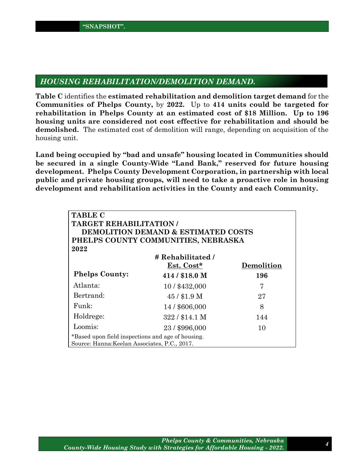#### *HOUSING REHABILITATION/DEMOLITION DEMAND.*

**Table C** identifies the **estimated rehabilitation and demolition target demand** for the **Communities of Phelps County,** by **2022.** Up to **414 units could be targeted for rehabilitation in Phelps County at an estimated cost of \$18 Million. Up to 196 housing units are considered not cost effective for rehabilitation and should be demolished.** The estimated cost of demolition will range, depending on acquisition of the housing unit.

**Land being occupied by "bad and unsafe" housing located in Communities should be secured in a single County-Wide "Land Bank," reserved for future housing development. Phelps County Development Corporation, in partnership with local public and private housing groups, will need to take a proactive role in housing development and rehabilitation activities in the County and each Community.** 

| <b>TABLE C</b>                                                                                     |                                                |            |  |  |
|----------------------------------------------------------------------------------------------------|------------------------------------------------|------------|--|--|
| <b>TARGET REHABILITATION/</b>                                                                      |                                                |            |  |  |
|                                                                                                    | <b>DEMOLITION DEMAND &amp; ESTIMATED COSTS</b> |            |  |  |
| PHELPS COUNTY COMMUNITIES, NEBRASKA                                                                |                                                |            |  |  |
| 2022                                                                                               |                                                |            |  |  |
|                                                                                                    | # Rehabilitated /                              |            |  |  |
|                                                                                                    | Est. Cost*                                     | Demolition |  |  |
| <b>Phelps County:</b>                                                                              | $414/$ \$18.0 M                                | 196        |  |  |
| Atlanta:                                                                                           | 10/\$432,000                                   | 7          |  |  |
| Bertrand:                                                                                          | $45/$ \$1.9 M                                  | 27         |  |  |
| Funk                                                                                               | 14/\$606,000                                   | 8          |  |  |
| Holdrege:                                                                                          | $322/$ \$14.1 M                                | 144        |  |  |
| Loomis:                                                                                            | 23 / \$996,000                                 | 10         |  |  |
| *Based upon field inspections and age of housing.<br>Source: Hanna: Keelan Associates, P.C., 2017. |                                                |            |  |  |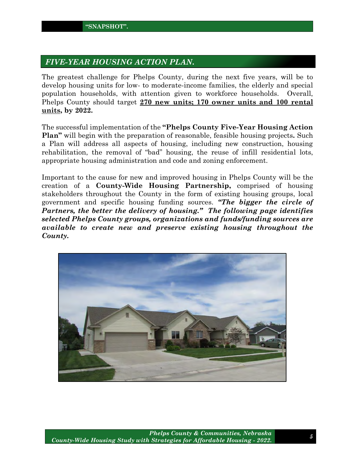#### *FIVE-YEAR HOUSING ACTION PLAN.*

The greatest challenge for Phelps County, during the next five years, will be to develop housing units for low- to moderate-income families, the elderly and special population households, with attention given to workforce households. Overall, Phelps County should target **270 new units; 170 owner units and 100 rental units, by 2022.** 

The successful implementation of the **"Phelps County Five-Year Housing Action Plan"** will begin with the preparation of reasonable, feasible housing projects**.** Such a Plan will address all aspects of housing, including new construction, housing rehabilitation, the removal of "bad" housing, the reuse of infill residential lots, appropriate housing administration and code and zoning enforcement.

Important to the cause for new and improved housing in Phelps County will be the creation of a **County-Wide Housing Partnership,** comprised of housing stakeholders throughout the County in the form of existing housing groups, local government and specific housing funding sources. *"The bigger the circle of Partners, the better the delivery of housing." The following page identifies selected Phelps County groups, organizations and funds/funding sources are available to create new and preserve existing housing throughout the County.*

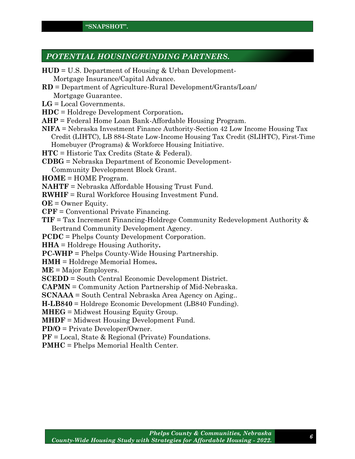#### *POTENTIAL HOUSING/FUNDING PARTNERS.*

| $HUD = U.S. Department of Housing & Urban Development-$                                                 |
|---------------------------------------------------------------------------------------------------------|
| Mortgage Insurance/Capital Advance.                                                                     |
| $RD = Department of Agriculture-Rural Development/Grants/Loan/$                                         |
| Mortgage Guarantee.                                                                                     |
| $LG = Local Geverments$ .                                                                               |
| $HDC =$ Holdrege Development Corporation.                                                               |
| $AHP = Federal$ Home Loan Bank-Affordable Housing Program.                                              |
| NIFA = Nebraska Investment Finance Authority-Section 42 Low Income Housing Tax                          |
| Credit (LIHTC), LB 884-State Low-Income Housing Tax Credit (SLIHTC), First-Time                         |
| Homebuyer (Programs) & Workforce Housing Initiative.                                                    |
| $HTC = Historic Tax Credits (State & Federal).$                                                         |
| $CDBG = Nebraska$ Department of Economic Development-                                                   |
| Community Development Block Grant.                                                                      |
| $HOME = HOME Program.$                                                                                  |
| NAHTF = Nebraska Affordable Housing Trust Fund.                                                         |
| <b>RWHIF</b> = Rural Workforce Housing Investment Fund.                                                 |
| $OE =$ Owner Equity.                                                                                    |
| $CPF = Conventional Private Financial.$                                                                 |
| $TIF = Tax Increment \, Financial \,Financing-Holdrage \, Community \, Redevelopment \, Authority \, &$ |
| Bertrand Community Development Agency.                                                                  |
| <b>PCDC</b> = Phelps County Development Corporation.                                                    |
| <b>HHA</b> = Holdrege Housing Authority.                                                                |
| $PC-WHP =$ Phelps County-Wide Housing Partnership.                                                      |
| <b>HMH</b> = Holdrege Memorial Homes.                                                                   |
| $ME = Major Emplovers.$                                                                                 |
| <b>SCEDD</b> = South Central Economic Development District.                                             |
| <b>CAPMN</b> = Community Action Partnership of Mid-Nebraska.                                            |
| <b>SCNAAA</b> = South Central Nebraska Area Agency on Aging                                             |
| <b>H-LB840</b> = Holdrege Economic Development (LB840 Funding).                                         |
| $MHEG = Midwest Housing Equity Group.$                                                                  |
| <b>MHDF</b> = Midwest Housing Development Fund.                                                         |
| $PD/O = Private Development/Owner$ .                                                                    |
| $PF = Local$ , State & Regional (Private) Foundations.                                                  |
| <b>PMHC</b> = Phelps Memorial Health Center.                                                            |
|                                                                                                         |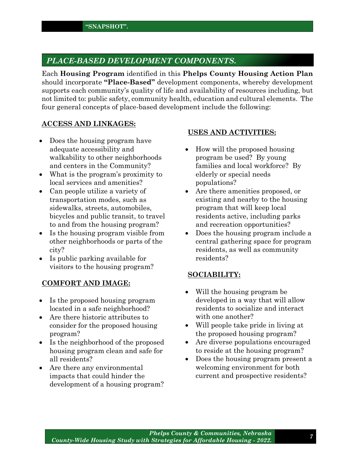#### *PLACE-BASED DEVELOPMENT COMPONENTS.*

Each **Housing Program** identified in this **Phelps County Housing Action Plan** should incorporate **"Place-Based"** development components, whereby development supports each community's quality of life and availability of resources including, but not limited to: public safety, community health, education and cultural elements. The four general concepts of place-based development include the following:

#### **ACCESS AND LINKAGES:**

- Does the housing program have adequate accessibility and walkability to other neighborhoods and centers in the Community?
- What is the program's proximity to local services and amenities?
- Can people utilize a variety of transportation modes, such as sidewalks, streets, automobiles, bicycles and public transit, to travel to and from the housing program?
- Is the housing program visible from other neighborhoods or parts of the city?
- Is public parking available for visitors to the housing program?

#### **COMFORT AND IMAGE:**

- Is the proposed housing program located in a safe neighborhood?
- Are there historic attributes to consider for the proposed housing program?
- Is the neighborhood of the proposed housing program clean and safe for all residents?
- Are there any environmental impacts that could hinder the development of a housing program?

#### **USES AND ACTIVITIES:**

- How will the proposed housing program be used? By young families and local workforce? By elderly or special needs populations?
- Are there amenities proposed, or existing and nearby to the housing program that will keep local residents active, including parks and recreation opportunities?
- Does the housing program include a central gathering space for program residents, as well as community residents?

#### **SOCIABILITY:**

- Will the housing program be developed in a way that will allow residents to socialize and interact with one another?
- Will people take pride in living at the proposed housing program?
- Are diverse populations encouraged to reside at the housing program?
- Does the housing program present a welcoming environment for both current and prospective residents?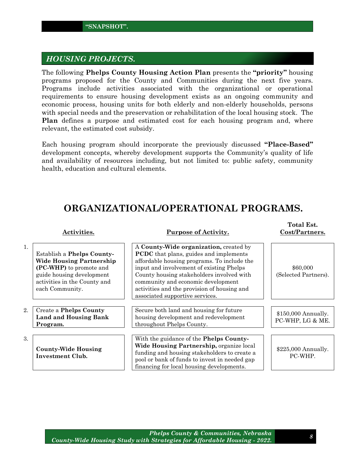#### *HOUSING PROJECTS.*

The following **Phelps County Housing Action Plan** presents the **"priority"** housing programs proposed for the County and Communities during the next five years. Programs include activities associated with the organizational or operational requirements to ensure housing development exists as an ongoing community and economic process, housing units for both elderly and non-elderly households, persons with special needs and the preservation or rehabilitation of the local housing stock. The **Plan** defines a purpose and estimated cost for each housing program and, where relevant, the estimated cost subsidy.

Each housing program should incorporate the previously discussed **"Place-Based"** development concepts, whereby development supports the Community's quality of life and availability of resources including, but not limited to: public safety, community health, education and cultural elements.

## **ORGANIZATIONAL/OPERATIONAL PROGRAMS.**

|                  | Activities.                                                                                                                                                              | <b>Purpose of Activity.</b>                                                                                                                                                                                                                                                                                                                             | Total Est.<br>Cost/Partners.            |
|------------------|--------------------------------------------------------------------------------------------------------------------------------------------------------------------------|---------------------------------------------------------------------------------------------------------------------------------------------------------------------------------------------------------------------------------------------------------------------------------------------------------------------------------------------------------|-----------------------------------------|
| 1.               | Establish a Phelps County-<br><b>Wide Housing Partnership</b><br>(PC-WHP) to promote and<br>guide housing development<br>activities in the County and<br>each Community. | A County-Wide organization, created by<br><b>PCDC</b> that plans, guides and implements<br>affordable housing programs. To include the<br>input and involvement of existing Phelps<br>County housing stakeholders involved with<br>community and economic development<br>activities and the provision of housing and<br>associated supportive services. | \$60,000<br>(Selected Partners).        |
| $\overline{2}$ . | <b>Create a Phelps County</b>                                                                                                                                            | Secure both land and housing for future                                                                                                                                                                                                                                                                                                                 |                                         |
|                  | <b>Land and Housing Bank</b><br>Program.                                                                                                                                 | housing development and redevelopment<br>throughout Phelps County.                                                                                                                                                                                                                                                                                      | \$150,000 Annually.<br>PC-WHP, LG & ME. |
|                  |                                                                                                                                                                          |                                                                                                                                                                                                                                                                                                                                                         |                                         |
| 3.               | <b>County-Wide Housing</b><br>Investment Club.                                                                                                                           | With the guidance of the Phelps County-<br>Wide Housing Partnership, organize local<br>funding and housing stakeholders to create a<br>pool or bank of funds to invest in needed gap<br>financing for local housing developments.                                                                                                                       | \$225,000 Annually.<br>PC-WHP.          |

**Total Est.**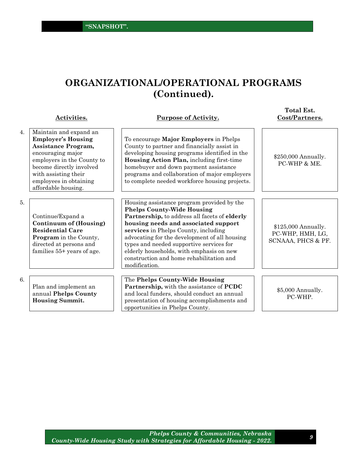## **ORGANIZATIONAL/OPERATIONAL PROGRAMS (Continued).**

|    | Activities.                                                                                                                                                                                                                        | <b>Purpose of Activity.</b>                                                                                                                                                                                                                                                                                                                                                                                            | Cost/Partners.                                                |
|----|------------------------------------------------------------------------------------------------------------------------------------------------------------------------------------------------------------------------------------|------------------------------------------------------------------------------------------------------------------------------------------------------------------------------------------------------------------------------------------------------------------------------------------------------------------------------------------------------------------------------------------------------------------------|---------------------------------------------------------------|
| 4. | Maintain and expand an<br><b>Employer's Housing</b><br>Assistance Program,<br>encouraging major<br>employers in the County to<br>become directly involved<br>with assisting their<br>employees in obtaining<br>affordable housing. | To encourage Major Employers in Phelps<br>County to partner and financially assist in<br>developing housing programs identified in the<br>Housing Action Plan, including first-time<br>homebuyer and down payment assistance<br>programs and collaboration of major employers<br>to complete needed workforce housing projects.                                                                                        | \$250,000 Annually.<br>PC-WHP & ME.                           |
| 5. | Continue/Expand a<br><b>Continuum of (Housing)</b><br><b>Residential Care</b><br>Program in the County,<br>directed at persons and<br>families 55+ years of age.                                                                   | Housing assistance program provided by the<br><b>Phelps County-Wide Housing</b><br>Partnership, to address all facets of elderly<br>housing needs and associated support<br>services in Phelps County, including<br>advocating for the development of all housing<br>types and needed supportive services for<br>elderly households, with emphasis on new<br>construction and home rehabilitation and<br>modification. | \$125,000 Annually.<br>PC-WHP, HMH, LG,<br>SCNAAA, PHCS & PF. |
| 6. | Plan and implement an<br>annual Phelps County<br><b>Housing Summit.</b>                                                                                                                                                            | The Phelps County-Wide Housing<br><b>Partnership, with the assistance of PCDC</b><br>and local funders, should conduct an annual<br>presentation of housing accomplishments and<br>opportunities in Phelps County.                                                                                                                                                                                                     | \$5,000 Annually.<br>PC-WHP.                                  |

**Total Est.**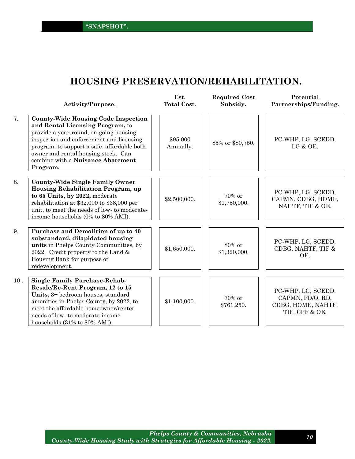**"SNAPSHOT".**

## **HOUSING PRESERVATION/REHABILITATION.**

|     | <b>Activity/Purpose.</b>                                                                                                                                                                                                                                                                                    | Est.<br><b>Total Cost.</b> | <b>Required Cost</b><br>Subsidy. | Potential<br>Partnerships/Funding.                                             |
|-----|-------------------------------------------------------------------------------------------------------------------------------------------------------------------------------------------------------------------------------------------------------------------------------------------------------------|----------------------------|----------------------------------|--------------------------------------------------------------------------------|
| 7.  | <b>County-Wide Housing Code Inspection</b><br>and Rental Licensing Program, to<br>provide a year-round, on-going housing<br>inspection and enforcement and licensing<br>program, to support a safe, affordable both<br>owner and rental housing stock. Can<br>combine with a Nuisance Abatement<br>Program. | \$95,000<br>Annually.      | 85% or \$80,750.                 | PC-WHP, LG, SCEDD,<br>LG & OE.                                                 |
| 8.  | <b>County-Wide Single Family Owner</b><br>Housing Rehabilitation Program, up<br>to 65 Units, by 2022, moderate<br>rehabilitation at \$32,000 to \$38,000 per<br>unit, to meet the needs of low- to moderate-<br>income households (0% to 80% AMI).                                                          | \$2,500,000.               | 70% or<br>\$1,750,000.           | PC-WHP, LG, SCEDD,<br>CAPMN, CDBG, HOME,<br>NAHTF, TIF & OE.                   |
| 9.  | Purchase and Demolition of up to 40<br>substandard, dilapidated housing<br>units in Phelps County Communities, by<br>2022. Credit property to the Land $&$<br>Housing Bank for purpose of<br>redevelopment.                                                                                                 | \$1,650,000.               | 80% or<br>\$1,320,000.           | PC-WHP, LG, SCEDD,<br>CDBG, NAHTF, TIF &<br>OE.                                |
| 10. | <b>Single Family Purchase-Rehab-</b><br>Resale/Re-Rent Program, 12 to 15<br>Units, 3+ bedroom houses, standard<br>amenities in Phelps County, by 2022, to<br>meet the affordable homeowner/renter<br>needs of low-to moderate-income<br>households (31% to 80% AMI).                                        | \$1,100,000.               | 70% or<br>\$761,250.             | PC-WHP, LG, SCEDD,<br>CAPMN, PD/O, RD,<br>CDBG, HOME, NAHTF,<br>TIF, CPF & OE. |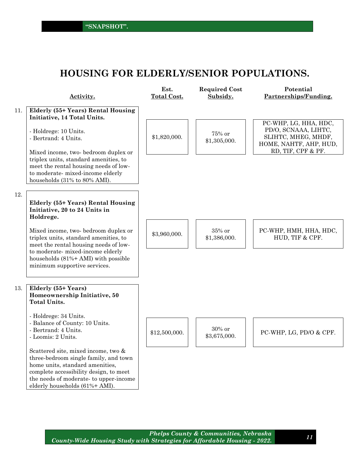## **HOUSING FOR ELDERLY/SENIOR POPULATIONS.**

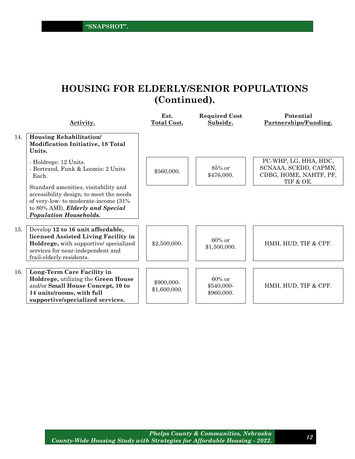## **HOUSING FOR ELDERLY/SENIOR POPULATIONS (Continued).**

|     | Activity.                                                                                                                                                                                    | Est.<br>Total Cost.        | <b>Required Cost</b><br>Subsidy.      | Potential<br>Partnerships/Funding.                                                    |
|-----|----------------------------------------------------------------------------------------------------------------------------------------------------------------------------------------------|----------------------------|---------------------------------------|---------------------------------------------------------------------------------------|
| 14. | Housing Rehabilitation/<br><b>Modification Initiative, 18 Total</b><br>Units.                                                                                                                |                            |                                       |                                                                                       |
|     | - Holdrege: 12 Units.<br>- Bertrand, Funk & Loomis: 2 Units<br>Each.                                                                                                                         | \$560,000.                 | $85\%$ or<br>\$476,000.               | PC-WHP, LG, HHA, HDC,<br>SCNAAA, SCEDD, CAPMN,<br>CDBG, HOME, NAHTF, PF,<br>TIF & OE. |
|     | Standard amenities, visitability and<br>accessibility design, to meet the needs<br>of very-low- to moderate-income (31%<br>to 80% AMI), Elderly and Special<br><b>Population Households.</b> |                            |                                       |                                                                                       |
| 15. | Develop 12 to 16 unit affordable,<br>licensed Assisted Living Facility in<br>Holdrege, with supportive/ specialized<br>services for near-independent and<br>frail-elderly residents.         | \$2,500,000.               | $60\%$ or<br>\$1,500,000.             | HMH, HUD, TIF & CPF.                                                                  |
| 16. | Long-Term Care Facility in<br>Holdrege, utilizing the Green House<br>and/or Small House Concept, 10 to<br>14 units/rooms, with full<br>supportive/specialized services.                      | \$900,000-<br>\$1,600,000. | $60\%$ or<br>\$540,000-<br>\$960,000. | HMH, HUD, TIF & CPF.                                                                  |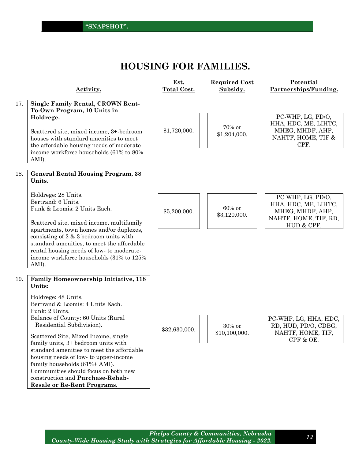## **HOUSING FOR FAMILIES.**

|     | Activity.                                                                                                                                                                                                                                                                                                                                                                                                                                                            | Est.<br><b>Total Cost.</b> | <b>Required Cost</b><br>Subsidy. | Potential<br>Partnerships/Funding.                                                                   |
|-----|----------------------------------------------------------------------------------------------------------------------------------------------------------------------------------------------------------------------------------------------------------------------------------------------------------------------------------------------------------------------------------------------------------------------------------------------------------------------|----------------------------|----------------------------------|------------------------------------------------------------------------------------------------------|
| 17. | <b>Single Family Rental, CROWN Rent-</b><br>To-Own Program, 10 Units in<br>Holdrege.<br>Scattered site, mixed income, 3+-bedroom<br>houses with standard amenities to meet<br>the affordable housing needs of moderate-<br>income workforce households (61% to 80%<br>AMI).                                                                                                                                                                                          | \$1,720,000.               | 70% or<br>\$1,204,000.           | PC-WHP, LG, PD/O,<br>HHA, HDC, ME, LIHTC,<br>MHEG, MHDF, AHP,<br>NAHTF, HOME, TIF &<br>CPF.          |
| 18. | <b>General Rental Housing Program, 38</b><br>Units.                                                                                                                                                                                                                                                                                                                                                                                                                  |                            |                                  |                                                                                                      |
|     | Holdrege: 28 Units.<br>Bertrand: 6 Units.<br>Funk & Loomis: 2 Units Each.<br>Scattered site, mixed income, multifamily<br>apartments, town homes and/or duplexes,<br>consisting of $2 \& 3$ bedroom units with<br>standard amenities, to meet the affordable<br>rental housing needs of low- to moderate-<br>income workforce households (31% to 125%                                                                                                                | \$5,200,000.               | 60% or<br>\$3,120,000.           | PC-WHP, LG, PD/O,<br>HHA, HDC, ME, LIHTC,<br>MHEG, MHDF, AHP,<br>NAHTF, HOME, TIF, RD,<br>HUD & CPF. |
| 19. | AMI).<br><b>Family Homeownership Initiative, 118</b><br>Units:                                                                                                                                                                                                                                                                                                                                                                                                       |                            |                                  |                                                                                                      |
|     | Holdrege: 48 Units.<br>Bertrand & Loomis: 4 Units Each.<br>Funk: 2 Units.<br>Balance of County: 60 Units (Rural<br>Residential Subdivision).<br>Scattered Site, Mixed Income, single<br>family units, 3+ bedroom units with<br>standard amenities to meet the affordable<br>housing needs of low- to upper-income<br>family households (61%+ AMI).<br>Communities should focus on both new<br>construction and Purchase-Rehab-<br><b>Resale or Re-Rent Programs.</b> | \$32,630,000.              | $30\%$ or<br>\$10,100,000.       | PC-WHP, LG, HHA, HDC,<br>RD, HUD, PD/O, CDBG,<br>NAHTF, HOME, TIF,<br>CPF & OE.                      |